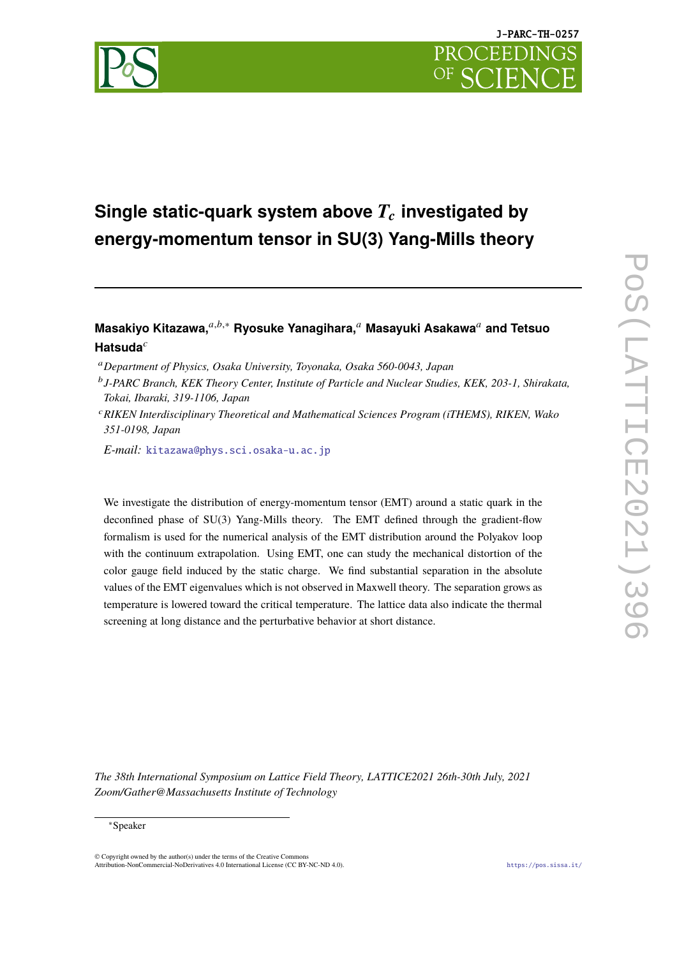

# **Single static-quark system above**  $T_c$  investigated by **energy-momentum tensor in SU(3) Yang-Mills theory**

## **Masakiyo Kitazawa,**𝑎,𝑏,<sup>∗</sup> **Ryosuke Yanagihara,**<sup>𝑎</sup> **Masayuki Asakawa**<sup>𝑎</sup> **and Tetsuo** Hatsuda<sup>c</sup>

<sup>𝑎</sup>*Department of Physics, Osaka University, Toyonaka, Osaka 560-0043, Japan*

- 𝑏 *J-PARC Branch, KEK Theory Center, Institute of Particle and Nuclear Studies, KEK, 203-1, Shirakata, Tokai, Ibaraki, 319-1106, Japan*
- <sup>𝑐</sup>*RIKEN Interdisciplinary Theoretical and Mathematical Sciences Program (iTHEMS), RIKEN, Wako 351-0198, Japan*

*E-mail:* [kitazawa@phys.sci.osaka-u.ac.jp](mailto:kitazawa@phys.sci.osaka-u.ac.jp)

We investigate the distribution of energy-momentum tensor (EMT) around a static quark in the deconfined phase of SU(3) Yang-Mills theory. The EMT defined through the gradient-flow formalism is used for the numerical analysis of the EMT distribution around the Polyakov loop with the continuum extrapolation. Using EMT, one can study the mechanical distortion of the color gauge field induced by the static charge. We find substantial separation in the absolute values of the EMT eigenvalues which is not observed in Maxwell theory. The separation grows as temperature is lowered toward the critical temperature. The lattice data also indicate the thermal screening at long distance and the perturbative behavior at short distance.

*The 38th International Symposium on Lattice Field Theory, LATTICE2021 26th-30th July, 2021 Zoom/Gather@Massachusetts Institute of Technology*

#### <sup>∗</sup>Speaker

© Copyright owned by the author(s) under the terms of the Creative Commons Attribution-NonCommercial-NoDerivatives 4.0 International License (CC BY-NC-ND 4.0). <https://pos.sissa.it/>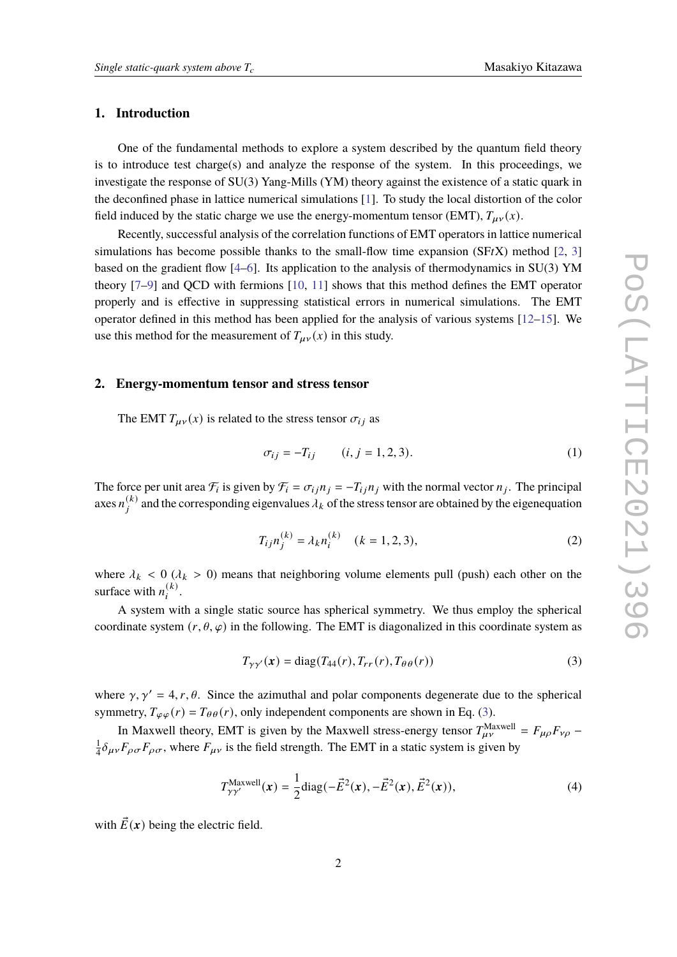#### **1. Introduction**

One of the fundamental methods to explore a system described by the quantum field theory is to introduce test charge(s) and analyze the response of the system. In this proceedings, we investigate the response of SU(3) Yang-Mills (YM) theory against the existence of a static quark in the deconfined phase in lattice numerical simulations [\[1\]](#page-6-0). To study the local distortion of the color field induced by the static charge we use the energy-momentum tensor (EMT),  $T_{\mu\nu}(x)$ .

Recently, successful analysis of the correlation functions of EMT operators in lattice numerical simulations has become possible thanks to the small-flow time expansion  $(SFtX)$  method [\[2,](#page-6-1) [3\]](#page-6-2) based on the gradient flow [\[4–](#page-6-3)[6\]](#page-6-4). Its application to the analysis of thermodynamics in SU(3) YM theory [\[7–](#page-6-5)[9\]](#page-6-6) and QCD with fermions [\[10,](#page-6-7) [11\]](#page-6-8) shows that this method defines the EMT operator properly and is effective in suppressing statistical errors in numerical simulations. The EMT operator defined in this method has been applied for the analysis of various systems  $[12-15]$  $[12-15]$ . We use this method for the measurement of  $T_{\mu\nu}(x)$  in this study.

#### **2. Energy-momentum tensor and stress tensor**

The EMT  $T_{\mu\nu}(x)$  is related to the stress tensor  $\sigma_{ij}$  as

$$
\sigma_{ij} = -T_{ij} \qquad (i, j = 1, 2, 3). \tag{1}
$$

The force per unit area  $\mathcal{F}_i$  is given by  $\mathcal{F}_i = \sigma_{ij} n_j = -T_{ij} n_j$  with the normal vector  $n_j$ . The principal axes  $n_j^{(k)}$  and the corresponding eigenvalues  $\lambda_k$  of the stress tensor are obtained by the eigenequation

$$
T_{ij}n_j^{(k)} = \lambda_k n_i^{(k)} \quad (k = 1, 2, 3),
$$
 (2)

where  $\lambda_k$  < 0 ( $\lambda_k$  > 0) means that neighboring volume elements pull (push) each other on the surface with  $n_i^{(k)}$ .

A system with a single static source has spherical symmetry. We thus employ the spherical coordinate system  $(r, \theta, \varphi)$  in the following. The EMT is diagonalized in this coordinate system as

<span id="page-1-0"></span>
$$
T_{\gamma\gamma'}(\mathbf{x}) = \text{diag}(T_{44}(r), T_{rr}(r), T_{\theta\theta}(r))
$$
\n(3)

where  $\gamma$ ,  $\gamma' = 4$ ,  $r$ ,  $\theta$ . Since the azimuthal and polar components degenerate due to the spherical symmetry,  $T_{\varphi\varphi}(r) = T_{\theta\theta}(r)$ , only independent components are shown in Eq. [\(3\)](#page-1-0).

In Maxwell theory, EMT is given by the Maxwell stress-energy tensor  $T_{\mu\nu}^{\text{Maxwell}} = F_{\mu\rho} F_{\nu\rho}$ 1  $\frac{1}{4}\delta_{\mu\nu}F_{\rho\sigma}F_{\rho\sigma}$ , where  $F_{\mu\nu}$  is the field strength. The EMT in a static system is given by

<span id="page-1-1"></span>
$$
T_{\gamma\gamma'}^{\text{Maxwell}}(x) = \frac{1}{2} \text{diag}(-\vec{E}^{2}(x), -\vec{E}^{2}(x), \vec{E}^{2}(x)),
$$
\n(4)

with  $\vec{E}(\mathbf{x})$  being the electric field.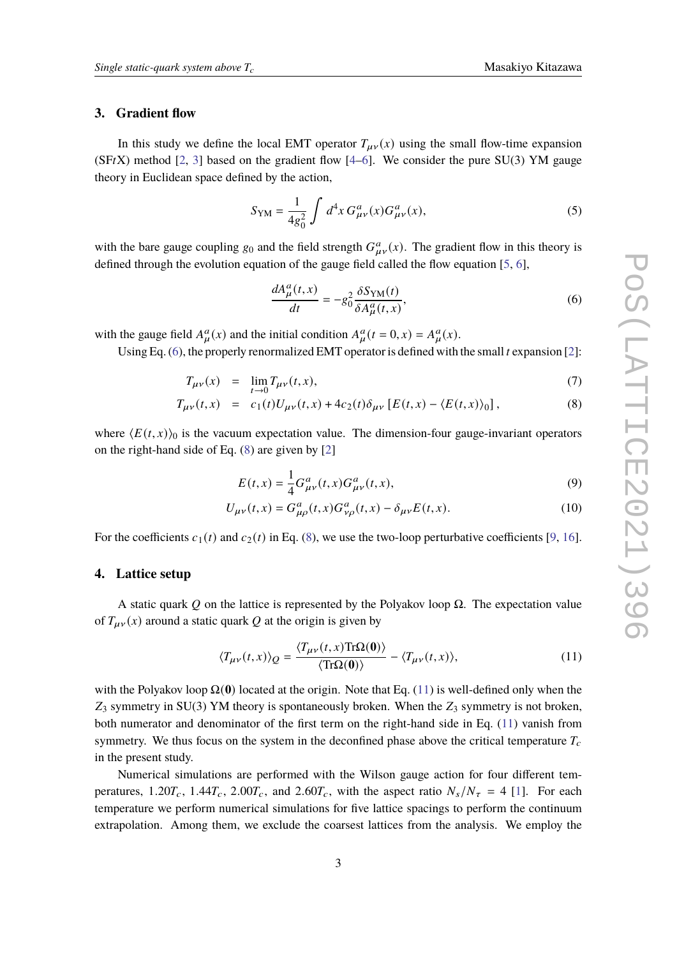#### **3. Gradient flow**

In this study we define the local EMT operator  $T_{\mu\nu}(x)$  using the small flow-time expansion (SFtX) method [\[2,](#page-6-1) [3\]](#page-6-2) based on the gradient flow [\[4](#page-6-3)[–6\]](#page-6-4). We consider the pure SU(3) YM gauge theory in Euclidean space defined by the action,

$$
S_{\rm YM} = \frac{1}{4g_0^2} \int d^4x \, G^a_{\mu\nu}(x) G^a_{\mu\nu}(x),\tag{5}
$$

with the bare gauge coupling  $g_0$  and the field strength  $G_{\mu\nu}^a(x)$ . The gradient flow in this theory is defined through the evolution equation of the gauge field called the flow equation [\[5,](#page-6-10) [6\]](#page-6-4),

<span id="page-2-0"></span>
$$
\frac{dA^a_\mu(t,x)}{dt} = -g_0^2 \frac{\delta S_{\rm YM}(t)}{\delta A^a_\mu(t,x)},\tag{6}
$$

with the gauge field  $A^a_{\mu}(x)$  and the initial condition  $A^a_{\mu}(t=0, x) = A^a_{\mu}(x)$ .

Using Eq.  $(6)$ , the properly renormalized EMT operator is defined with the small t expansion [\[2\]](#page-6-1):

<span id="page-2-1"></span>
$$
T_{\mu\nu}(x) = \lim_{t \to 0} T_{\mu\nu}(t, x),
$$
\n(7)

$$
T_{\mu\nu}(t,x) = c_1(t)U_{\mu\nu}(t,x) + 4c_2(t)\delta_{\mu\nu} [E(t,x) - \langle E(t,x) \rangle_0], \qquad (8)
$$

where  $\langle E(t, x) \rangle$  is the vacuum expectation value. The dimension-four gauge-invariant operators on the right-hand side of Eq. [\(8\)](#page-2-1) are given by [\[2\]](#page-6-1)

$$
E(t,x) = \frac{1}{4}G_{\mu\nu}^a(t,x)G_{\mu\nu}^a(t,x),
$$
\n(9)

$$
U_{\mu\nu}(t,x) = G_{\mu\rho}^a(t,x)G_{\nu\rho}^a(t,x) - \delta_{\mu\nu}E(t,x).
$$
 (10)

For the coefficients  $c_1(t)$  and  $c_2(t)$  in Eq. [\(8\)](#page-2-1), we use the two-loop perturbative coefficients [\[9,](#page-6-6) [16\]](#page-7-1).

#### **4. Lattice setup**

A static quark Q on the lattice is represented by the Polyakov loop  $\Omega$ . The expectation value of  $T_{\mu\nu}(x)$  around a static quark Q at the origin is given by

<span id="page-2-2"></span>
$$
\langle T_{\mu\nu}(t,x)\rangle_{Q} = \frac{\langle T_{\mu\nu}(t,x) \text{Tr}\Omega(\mathbf{0})\rangle}{\langle \text{Tr}\Omega(\mathbf{0})\rangle} - \langle T_{\mu\nu}(t,x)\rangle, \tag{11}
$$

with the Polyakov loop  $\Omega(0)$  located at the origin. Note that Eq. [\(11\)](#page-2-2) is well-defined only when the  $Z_3$  symmetry in SU(3) YM theory is spontaneously broken. When the  $Z_3$  symmetry is not broken, both numerator and denominator of the first term on the right-hand side in Eq. [\(11\)](#page-2-2) vanish from symmetry. We thus focus on the system in the deconfined phase above the critical temperature  $T_c$ in the present study.

Numerical simulations are performed with the Wilson gauge action for four different temperatures,  $1.20T_c$ ,  $1.44T_c$ ,  $2.00T_c$ , and  $2.60T_c$ , with the aspect ratio  $N_s/N_\tau = 4$  [\[1\]](#page-6-0). For each temperature we perform numerical simulations for five lattice spacings to perform the continuum extrapolation. Among them, we exclude the coarsest lattices from the analysis. We employ the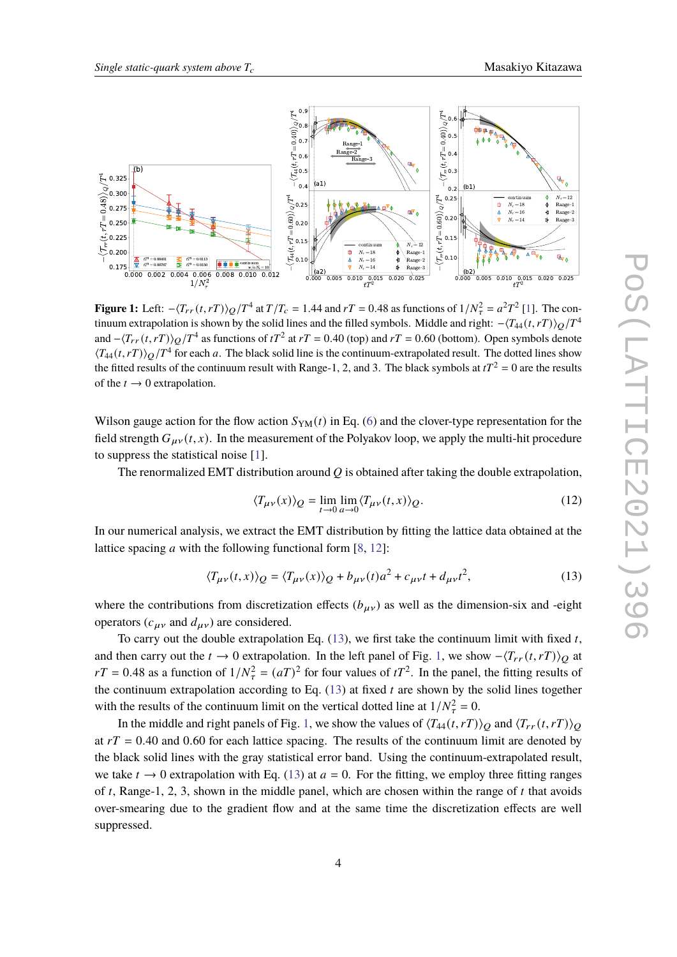<span id="page-3-1"></span>

**Figure 1:** Left:  $-\langle T_{rr}(t, rT) \rangle_{Q}/T^4$  at  $T/T_c = 1.44$  and  $rT = 0.48$  as functions of  $1/N_{\tau}^2 = a^2 T^2$  [\[1\]](#page-6-0). The continuum extrapolation is shown by the solid lines and the filled symbols. Middle and right:  $-\langle T_{44} (t, rT) \rangle_Q /T^4$ and  $-\langle T_{rr}(t, rT) \rangle_{Q}/T^4$  as functions of  $tT^2$  at  $rT = 0.40$  (top) and  $rT = 0.60$  (bottom). Open symbols denote  $\langle T_{44}(t, rT) \rangle_Q / T^4$  for each a. The black solid line is the continuum-extrapolated result. The dotted lines show the fitted results of the continuum result with Range-1, 2, and 3. The black symbols at  $tT^2 = 0$  are the results of the  $t \rightarrow 0$  extrapolation.

Wilson gauge action for the flow action  $S_{YM}(t)$  in Eq. [\(6\)](#page-2-0) and the clover-type representation for the field strength  $G_{\mu\nu}(t, x)$ . In the measurement of the Polyakov loop, we apply the multi-hit procedure to suppress the statistical noise [\[1\]](#page-6-0).

The renormalized EMT distribution around  $Q$  is obtained after taking the double extrapolation,

<span id="page-3-0"></span>
$$
\langle T_{\mu\nu}(x)\rangle_{Q} = \lim_{t \to 0} \lim_{a \to 0} \langle T_{\mu\nu}(t, x)\rangle_{Q}.
$$
 (12)

In our numerical analysis, we extract the EMT distribution by fitting the lattice data obtained at the lattice spacing  $a$  with the following functional form [\[8,](#page-6-11) [12\]](#page-6-9):

$$
\langle T_{\mu\nu}(t,x)\rangle_Q = \langle T_{\mu\nu}(x)\rangle_Q + b_{\mu\nu}(t)a^2 + c_{\mu\nu}t + d_{\mu\nu}t^2,\tag{13}
$$

where the contributions from discretization effects  $(b_{\mu\nu})$  as well as the dimension-six and -eight operators ( $c_{\mu\nu}$  and  $d_{\mu\nu}$ ) are considered.

To carry out the double extrapolation Eq.  $(13)$ , we first take the continuum limit with fixed t, and then carry out the  $t \to 0$  extrapolation. In the left panel of Fig. [1,](#page-3-1) we show  $-\langle T_{rr}(t, rT) \rangle$  at  $rT = 0.48$  as a function of  $1/N_{\tau}^2 = (aT)^2$  for four values of  $tT^2$ . In the panel, the fitting results of the continuum extrapolation according to Eq.  $(13)$  at fixed t are shown by the solid lines together with the results of the continuum limit on the vertical dotted line at  $1/N_{\tau}^2 = 0$ .

In the middle and right panels of Fig. [1,](#page-3-1) we show the values of  $\langle T_{44}(t, rT) \rangle$  and  $\langle T_{rr}(t, rT) \rangle$ at  $rT = 0.40$  and 0.60 for each lattice spacing. The results of the continuum limit are denoted by the black solid lines with the gray statistical error band. Using the continuum-extrapolated result, we take  $t \to 0$  extrapolation with Eq. [\(13\)](#page-3-0) at  $a = 0$ . For the fitting, we employ three fitting ranges of t, Range-1, 2, 3, shown in the middle panel, which are chosen within the range of t that avoids over-smearing due to the gradient flow and at the same time the discretization effects are well suppressed.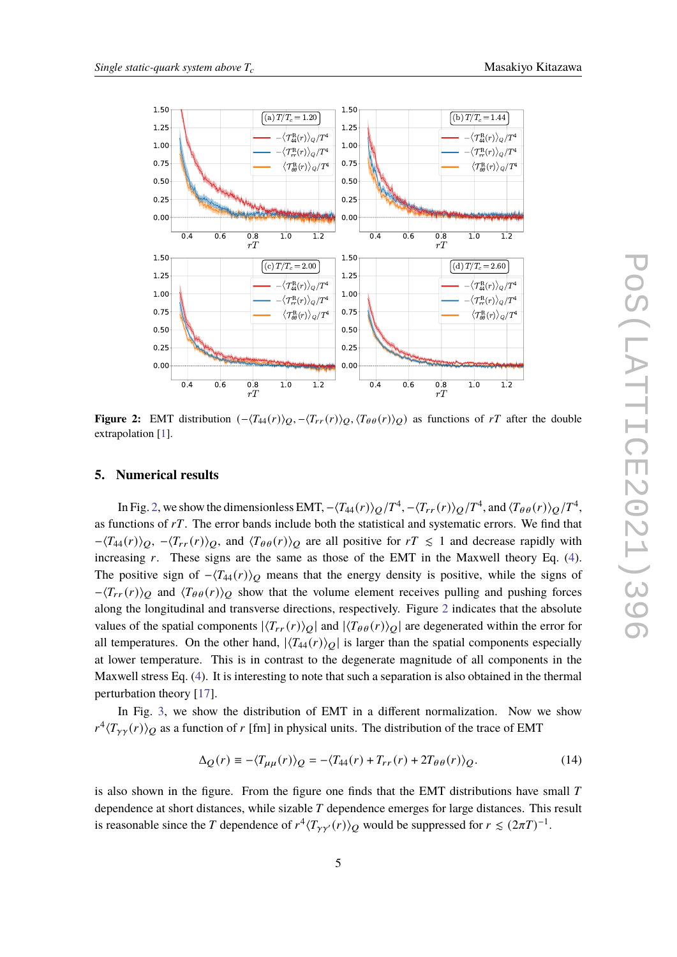<span id="page-4-0"></span>

**Figure 2:** EMT distribution  $(-\langle T_{44}(r) \rangle_{Q}, -\langle T_{rr}(r) \rangle_{Q}, \langle T_{\theta\theta}(r) \rangle_{Q})$  as functions of rT after the double extrapolation [\[1\]](#page-6-0).

#### **5. Numerical results**

In Fig. [2,](#page-4-0) we show the dimensionless EMT,  $-\langle T_{44}(r)\rangle_{Q}/T^4$ ,  $-\langle T_{rr}(r)\rangle_{Q}/T^4$ , and  $\langle T_{\theta\theta}(r)\rangle_{Q}/T^4$ , as functions of  $rT$ . The error bands include both the statistical and systematic errors. We find that  $-\langle T_{44}(r)\rangle_{Q}$ ,  $-\langle T_{rr}(r)\rangle_{Q}$ , and  $\langle T_{\theta\theta}(r)\rangle_{Q}$  are all positive for  $rT \leq 1$  and decrease rapidly with increasing  $r$ . These signs are the same as those of the EMT in the Maxwell theory Eq.  $(4)$ . The positive sign of  $-\langle T_{44}(r)\rangle$  means that the energy density is positive, while the signs of  $-\langle T_{rr}(r)\rangle$  and  $\langle T_{\theta\theta}(r)\rangle$  show that the volume element receives pulling and pushing forces along the longitudinal and transverse directions, respectively. Figure [2](#page-4-0) indicates that the absolute values of the spatial components  $|\langle T_{rr}(r) \rangle_{Q}|$  and  $|\langle T_{\theta \theta}(r) \rangle_{Q}|$  are degenerated within the error for all temperatures. On the other hand,  $|\langle T_{44}(r) \rangle_{O}|$  is larger than the spatial components especially at lower temperature. This is in contrast to the degenerate magnitude of all components in the Maxwell stress Eq. [\(4\)](#page-1-1). It is interesting to note that such a separation is also obtained in the thermal perturbation theory [\[17\]](#page-7-2).

In Fig. [3,](#page-5-0) we show the distribution of EMT in a different normalization. Now we show  $r^4 \langle T_{\gamma\gamma}(r) \rangle_Q$  as a function of r [fm] in physical units. The distribution of the trace of EMT

$$
\Delta_Q(r) \equiv -\langle T_{\mu\mu}(r) \rangle_Q = -\langle T_{44}(r) + T_{rr}(r) + 2T_{\theta\theta}(r) \rangle_Q. \tag{14}
$$

is also shown in the figure. From the figure one finds that the EMT distributions have small  $T$ dependence at short distances, while sizable  $T$  dependence emerges for large distances. This result is reasonable since the T dependence of  $r^4 \langle T_{\gamma\gamma'}(r) \rangle_Q$  would be suppressed for  $r \leq (2\pi T)^{-1}$ .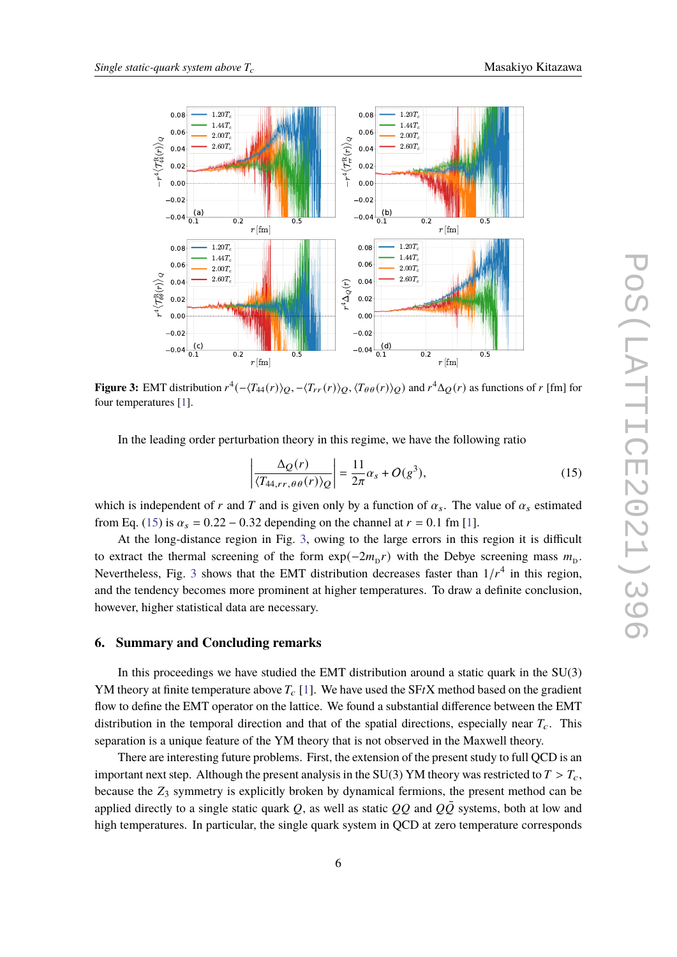<span id="page-5-0"></span>

**Figure 3:** EMT distribution  $r^4(-\langle T_{44}(r)\rangle_Q,-\langle T_{rr}(r)\rangle_Q,\langle T_{\theta\theta}(r)\rangle_Q)$  and  $r^4\Delta_Q(r)$  as functions of  $r$  [fm] for four temperatures [\[1\]](#page-6-0).

In the leading order perturbation theory in this regime, we have the following ratio

<span id="page-5-1"></span>
$$
\left| \frac{\Delta_Q(r)}{\langle T_{44,rr,\theta\theta}(r) \rangle_Q} \right| = \frac{11}{2\pi} \alpha_s + O(g^3),\tag{15}
$$

which is independent of r and T and is given only by a function of  $\alpha_s$ . The value of  $\alpha_s$  estimated from Eq. [\(15\)](#page-5-1) is  $\alpha_s = 0.22 - 0.32$  depending on the channel at  $r = 0.1$  fm [\[1\]](#page-6-0).

At the long-distance region in Fig. [3,](#page-5-0) owing to the large errors in this region it is difficult to extract the thermal screening of the form  $\exp(-2m_D r)$  with the Debye screening mass  $m_D$ . Nevertheless, Fig. [3](#page-5-0) shows that the EMT distribution decreases faster than  $1/r<sup>4</sup>$  in this region, and the tendency becomes more prominent at higher temperatures. To draw a definite conclusion, however, higher statistical data are necessary.

#### **6. Summary and Concluding remarks**

In this proceedings we have studied the EMT distribution around a static quark in the SU(3) YM theory at finite temperature above  $T_c$  [\[1\]](#page-6-0). We have used the SFtX method based on the gradient flow to define the EMT operator on the lattice. We found a substantial difference between the EMT distribution in the temporal direction and that of the spatial directions, especially near  $T_c$ . This separation is a unique feature of the YM theory that is not observed in the Maxwell theory.

There are interesting future problems. First, the extension of the present study to full QCD is an important next step. Although the present analysis in the SU(3) YM theory was restricted to  $T > T_c$ , because the  $Z_3$  symmetry is explicitly broken by dynamical fermions, the present method can be applied directly to a single static quark Q, as well as static  $OO$  and  $O\overline{O}$  systems, both at low and high temperatures. In particular, the single quark system in QCD at zero temperature corresponds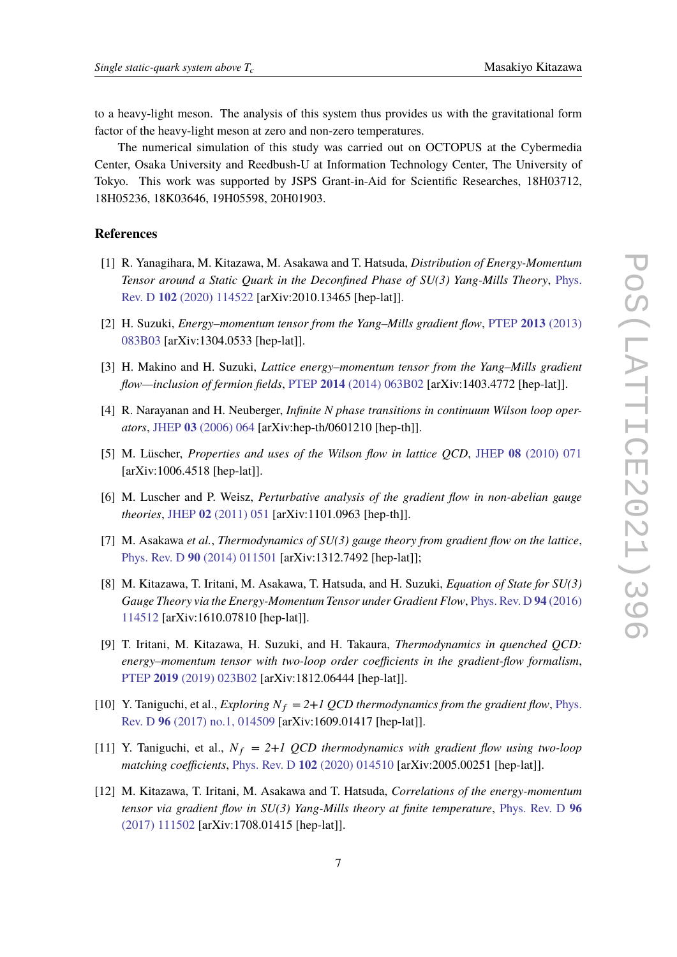to a heavy-light meson. The analysis of this system thus provides us with the gravitational form factor of the heavy-light meson at zero and non-zero temperatures.

The numerical simulation of this study was carried out on OCTOPUS at the Cybermedia Center, Osaka University and Reedbush-U at Information Technology Center, The University of Tokyo. This work was supported by JSPS Grant-in-Aid for Scientific Researches, 18H03712, 18H05236, 18K03646, 19H05598, 20H01903.

### **References**

- <span id="page-6-0"></span>[1] R. Yanagihara, M. Kitazawa, M. Asakawa and T. Hatsuda, *Distribution of Energy-Momentum Tensor around a Static Quark in the Deconfined Phase of SU(3) Yang-Mills Theory*, [Phys.](https://doi.org/10.1103/PhysRevD.102.114522) Rev. D **102** [\(2020\) 114522](https://doi.org/10.1103/PhysRevD.102.114522) [arXiv:2010.13465 [hep-lat]].
- <span id="page-6-1"></span>[2] H. Suzuki, *Energy–momentum tensor from the Yang–Mills gradient flow*, PTEP **2013** [\(2013\)](https://doi.org/10.1093/ptep/ptt059) [083B03](https://doi.org/10.1093/ptep/ptt059) [arXiv:1304.0533 [hep-lat]].
- <span id="page-6-2"></span>[3] H. Makino and H. Suzuki, *Lattice energy–momentum tensor from the Yang–Mills gradient flow—inclusion of fermion fields*, PTEP **2014** [\(2014\) 063B02](https://doi.org/10.1093/ptep/ptu070) [arXiv:1403.4772 [hep-lat]].
- <span id="page-6-3"></span>[4] R. Narayanan and H. Neuberger, *Infinite N phase transitions in continuum Wilson loop operators*, JHEP **03** [\(2006\) 064](https://doi.org/10.1088/1126-6708/2006/03/064) [arXiv:hep-th/0601210 [hep-th]].
- <span id="page-6-10"></span>[5] M. Lüscher, *Properties and uses of the Wilson flow in lattice QCD*, JHEP **08** [\(2010\) 071](https://doi.org/10.1007/JHEP08(2010)071) [arXiv:1006.4518 [hep-lat]].
- <span id="page-6-4"></span>[6] M. Luscher and P. Weisz, *Perturbative analysis of the gradient flow in non-abelian gauge theories*, JHEP **02** [\(2011\) 051](https://doi.org/10.1007/JHEP02(2011)051) [arXiv:1101.0963 [hep-th]].
- <span id="page-6-5"></span>[7] M. Asakawa *et al.*, *Thermodynamics of SU(3) gauge theory from gradient flow on the lattice*, Phys. Rev. D **90** [\(2014\) 011501](https://doi.org/10.1103/PhysRevD.90.011501) [arXiv:1312.7492 [hep-lat]];
- <span id="page-6-11"></span>[8] M. Kitazawa, T. Iritani, M. Asakawa, T. Hatsuda, and H. Suzuki, *Equation of State for SU(3) Gauge Theory via the Energy-Momentum Tensor under Gradient Flow*, [Phys. Rev. D](https://doi.org/10.1103/PhysRevD.94.114512) **94** (2016) [114512](https://doi.org/10.1103/PhysRevD.94.114512) [arXiv:1610.07810 [hep-lat]].
- <span id="page-6-6"></span>[9] T. Iritani, M. Kitazawa, H. Suzuki, and H. Takaura, *Thermodynamics in quenched QCD: energy–momentum tensor with two-loop order coefficients in the gradient-flow formalism*, PTEP **2019** [\(2019\) 023B02](https://doi.org/10.1093/ptep/ptz001) [arXiv:1812.06444 [hep-lat]].
- <span id="page-6-7"></span>[10] Y. Taniguchi, et al., *Exploring*  $N_f = 2+1$  *QCD thermodynamics from the gradient flow*, [Phys.](https://doi.org/10.1103/PhysRevD.96.014509) Rev. D **96** [\(2017\) no.1, 014509](https://doi.org/10.1103/PhysRevD.96.014509) [arXiv:1609.01417 [hep-lat]].
- <span id="page-6-8"></span>[11] Y. Taniguchi, et al.,  $N_f = 2+1$  *QCD thermodynamics with gradient flow using two-loop matching coefficients*, Phys. Rev. D **102** [\(2020\) 014510](https://doi.org/10.1103/PhysRevD.102.014510) [arXiv:2005.00251 [hep-lat]].
- <span id="page-6-9"></span>[12] M. Kitazawa, T. Iritani, M. Asakawa and T. Hatsuda, *Correlations of the energy-momentum tensor via gradient flow in SU(3) Yang-Mills theory at finite temperature*, [Phys. Rev. D](https://doi.org/10.1103/PhysRevD.96.111502) **96** [\(2017\) 111502](https://doi.org/10.1103/PhysRevD.96.111502) [arXiv:1708.01415 [hep-lat]].